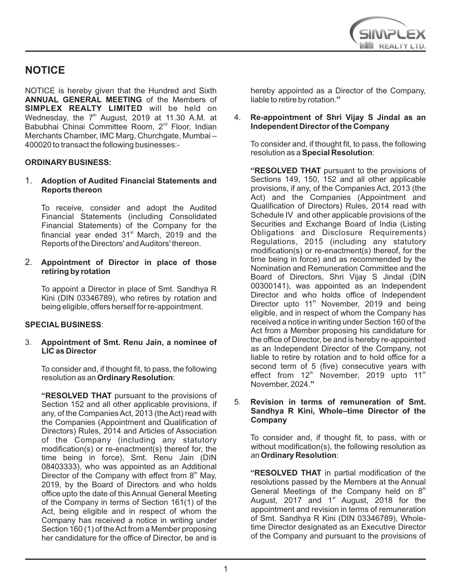

# **NOTICE**

NOTICE is hereby given that the Hundred and Sixth **ANNUAL GENERAL MEETING** of the Members of **SIMPLEX REALTY LIMITED** will be held on Wednesday, the  $7<sup>th</sup>$  August, 2019 at 11.30 A.M. at Babubhai Chinai Committee Room, 2<sup>nd</sup> Floor, Indian Merchants Chamber, IMC Marg, Churchgate, Mumbai – 400020 to transact the following businesses:-

#### **ORDINARY BUSINESS:**

1. **Adoption of Audited Financial Statements and Reports thereon**

To receive, consider and adopt the Audited Financial Statements (including Consolidated Financial Statements) of the Company for the financial year ended  $31<sup>st</sup>$  March, 2019 and the Reports of the Directors' and Auditors' thereon.

2. **Appointment of Director in place of those retiring by rotation** 

To appoint a Director in place of Smt. Sandhya R Kini (DIN 03346789), who retires by rotation and being eligible, offers herself for re-appointment.

#### **SPECIAL BUSINESS**:

3. **Appointment of Smt. Renu Jain, a nominee of LIC as Director** 

To consider and, if thought fit, to pass, the following resolution as an **Ordinary Resolution**:

**"RESOLVED THAT** pursuant to the provisions of Section 152 and all other applicable provisions, if any, of the Companies Act, 2013 (the Act) read with the Companies (Appointment and Qualification of Directors) Rules, 2014 and Articles of Association of the Company (including any statutory modification(s) or re-enactment(s) thereof for, the time being in force), Smt. Renu Jain (DIN 08403333), who was appointed as an Additional Director of the Company with effect from  $8<sup>th</sup>$  May, 2019, by the Board of Directors and who holds office upto the date of this Annual General Meeting of the Company in terms of Section 161(1) of the Act, being eligible and in respect of whom the Company has received a notice in writing under Section 160 (1) of the Act from a Member proposing her candidature for the office of Director, be and is

hereby appointed as a Director of the Company, liable to retire by rotation.**"**

#### 4. **Re-appointment of Shri Vijay S Jindal as an Independent Director of the Company**

To consider and, if thought fit, to pass, the following resolution as a **Special Resolution**:

**"RESOLVED THAT** pursuant to the provisions of Sections 149, 150, 152 and all other applicable provisions, if any, of the Companies Act, 2013 (the Act) and the Companies (Appointment and Qualification of Directors) Rules, 2014 read with Schedule IV and other applicable provisions of the Securities and Exchange Board of India (Listing Obligations and Disclosure Requirements) Regulations, 2015 (including any statutory modification(s) or re-enactment(s) thereof, for the time being in force) and as recommended by the Nomination and Remuneration Committee and the Board of Directors, Shri Vijay S Jindal (DIN 00300141), was appointed as an Independent Director and who holds office of Independent Director upto 11<sup>th</sup> November, 2019 and being eligible, and in respect of whom the Company has received a notice in writing under Section 160 of the Act from a Member proposing his candidature for the office of Director, be and is hereby re-appointed as an Independent Director of the Company, not liable to retire by rotation and to hold office for a second term of 5 (five) consecutive years with effect from  $12<sup>th</sup>$  November, 2019 upto 11<sup>th</sup> November, 2024.**"**

#### 5. **Revision in terms of remuneration of Smt. Sandhya R Kini, Whole–time Director of the Company**

To consider and, if thought fit, to pass, with or without modification(s), the following resolution as an **Ordinary Resolution**:

**"RESOLVED THAT** in partial modification of the resolutions passed by the Members at the Annual General Meetings of the Company held on  $8<sup>th</sup>$ August, 2017 and  $1<sup>st</sup>$  August, 2018 for the appointment and revision in terms of remuneration of Smt. Sandhya R Kini (DIN 03346789), Wholetime Director designated as an Executive Director of the Company and pursuant to the provisions of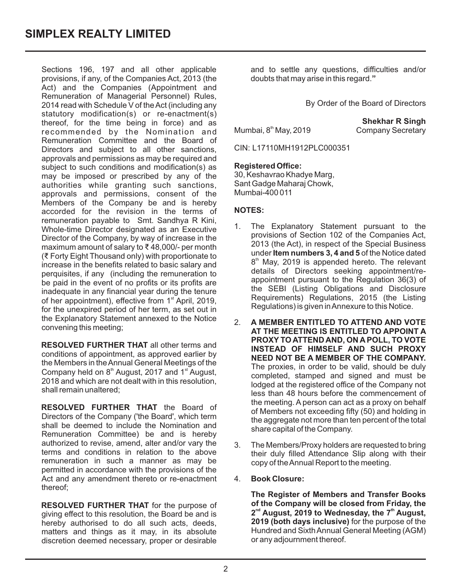Sections 196, 197 and all other applicable provisions, if any, of the Companies Act, 2013 (the Act) and the Companies (Appointment and Remuneration of Managerial Personnel) Rules, 2014 read with Schedule V of the Act (including any statutory modification(s) or re-enactment(s) thereof, for the time being in force) and as recommended by the Nomination and Remuneration Committee and the Board of Directors and subject to all other sanctions, approvals and permissions as may be required and subject to such conditions and modification(s) as may be imposed or prescribed by any of the authorities while granting such sanctions, approvals and permissions, consent of the Members of the Company be and is hereby accorded for the revision in the terms of remuneration payable to Smt. Sandhya R Kini, Whole-time Director designated as an Executive Director of the Company, by way of increase in the maximum amount of salary to ₹ 48,000/- per month (₹ Forty Eight Thousand only) with proportionate to increase in the benefits related to basic salary and perquisites, if any (including the remuneration to be paid in the event of no profits or its profits are inadequate in any financial year during the tenure of her appointment), effective from  $1<sup>st</sup>$  April, 2019, for the unexpired period of her term, as set out in the Explanatory Statement annexed to the Notice convening this meeting;

**RESOLVED FURTHER THAT** all other terms and conditions of appointment, as approved earlier by the Members in the Annual General Meetings of the Company held on  $8<sup>th</sup>$  August, 2017 and 1 $<sup>st</sup>$  August,</sup> 2018 and which are not dealt with in this resolution, shall remain unaltered;

**RESOLVED FURTHER THAT** the Board of Directors of the Company ('the Board', which term shall be deemed to include the Nomination and Remuneration Committee) be and is hereby authorized to revise, amend, alter and/or vary the terms and conditions in relation to the above remuneration in such a manner as may be permitted in accordance with the provisions of the Act and any amendment thereto or re-enactment thereof;

**RESOLVED FURTHER THAT** for the purpose of giving effect to this resolution, the Board be and is hereby authorised to do all such acts, deeds, matters and things as it may, in its absolute discretion deemed necessary, proper or desirable

and to settle any questions, difficulties and/or doubts that may arise in this regard.**"**

By Order of the Board of Directors

Mumbai,  $8<sup>th</sup>$  May, 2019

**Shekhar R Singh Company Secretary** 

CIN: L17110MH1912PLC000351

#### **Registered Office:**

30, Keshavrao Khadye Marg, Sant Gadge Maharaj Chowk, Mumbai-400 011

#### **NOTES:**

- 1. The Explanatory Statement pursuant to the provisions of Section 102 of the Companies Act, 2013 (the Act), in respect of the Special Business under **Item numbers 3, 4 and 5** of the Notice dated  $8<sup>th</sup>$  May, 2019 is appended hereto. The relevant details of Directors seeking appointment/reappointment pursuant to the Regulation 36(3) of the SEBI (Listing Obligations and Disclosure Requirements) Regulations, 2015 (the Listing Regulations) is given in Annexure to this Notice.
- 2. **A MEMBER ENTITLED TO ATTEND AND VOTE AT THE MEETING IS ENTITLED TO APPOINT A PROXY TO ATTEND AND, ON A POLL, TO VOTE INSTEAD OF HIMSELF AND SUCH PROXY NEED NOT BE A MEMBER OF THE COMPANY.**  The proxies, in order to be valid, should be duly completed, stamped and signed and must be lodged at the registered office of the Company not less than 48 hours before the commencement of the meeting. A person can act as a proxy on behalf of Members not exceeding fifty (50) and holding in the aggregate not more than ten percent of the total share capital of the Company.
- 3. The Members/Proxy holders are requested to bring their duly filled Attendance Slip along with their copy of the Annual Report to the meeting.
- 4. **Book Closure:**

**The Register of Members and Transfer Books of the Company will be closed from Friday, the**  2<sup>nd</sup> August, 2019 to Wednesday, the 7<sup>th</sup> August, **2019 (both days inclusive)** for the purpose of the Hundred and Sixth Annual General Meeting (AGM) or any adjournment thereof.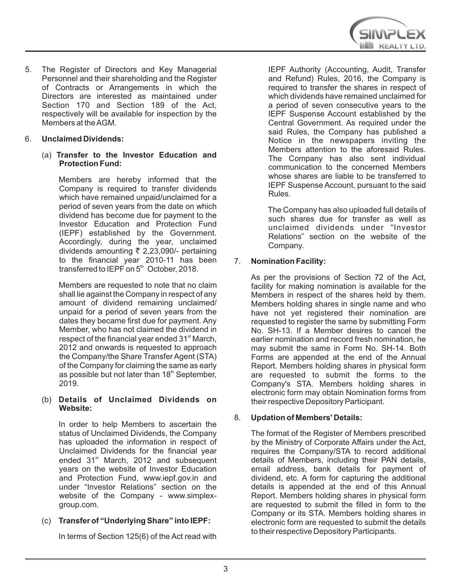5. The Register of Directors and Key Managerial Personnel and their shareholding and the Register of Contracts or Arrangements in which the Directors are interested as maintained under Section 170 and Section 189 of the Act, respectively will be available for inspection by the Members at the AGM.

### 6. **Unclaimed Dividends:**

(a) **Transfer to the Investor Education and Protection Fund:** 

Members are hereby informed that the Company is required to transfer dividends which have remained unpaid/unclaimed for a period of seven years from the date on which dividend has become due for payment to the Investor Education and Protection Fund (IEPF) established by the Government. Accordingly, during the year, unclaimed dividends amounting  $\bar{\tau}$  2,23,090/- pertaining to the financial year 2010-11 has been transferred to IEPF on 5<sup>th</sup> October, 2018.

Members are requested to note that no claim shall lie against the Company in respect of any amount of dividend remaining unclaimed/ unpaid for a period of seven years from the dates they became first due for payment. Any Member, who has not claimed the dividend in respect of the financial year ended 31<sup>st</sup> March, 2012 and onwards is requested to approach the Company/the Share Transfer Agent (STA) of the Company for claiming the same as early as possible but not later than  $18<sup>th</sup>$  September, 2019.

#### (b) **Details of Unclaimed Dividends on Website:**

In order to help Members to ascertain the status of Unclaimed Dividends, the Company has uploaded the information in respect of Unclaimed Dividends for the financial year ended 31<sup>st</sup> March, 2012 and subsequent years on the website of Investor Education and Protection Fund, www.iepf.gov.in and under "Investor Relations" section on the website of the Company - www.simplexgroup.com.

# (c) **Transfer of "Underlying Share" into IEPF:**

In terms of Section 125(6) of the Act read with

IEPF Authority (Accounting, Audit, Transfer and Refund) Rules, 2016, the Company is required to transfer the shares in respect of which dividends have remained unclaimed for a period of seven consecutive years to the IEPF Suspense Account established by the Central Government. As required under the said Rules, the Company has published a Notice in the newspapers inviting the Members attention to the aforesaid Rules. The Company has also sent individual communication to the concerned Members whose shares are liable to be transferred to IEPF Suspense Account, pursuant to the said Rules.

The Company has also uploaded full details of such shares due for transfer as well as unclaimed dividends under "Investor Relations" section on the website of the Company.

# 7. **Nomination Facility:**

As per the provisions of Section 72 of the Act, facility for making nomination is available for the Members in respect of the shares held by them. Members holding shares in single name and who have not yet registered their nomination are requested to register the same by submitting Form No. SH-13. If a Member desires to cancel the earlier nomination and record fresh nomination, he may submit the same in Form No. SH-14. Both Forms are appended at the end of the Annual Report. Members holding shares in physical form are requested to submit the forms to the Company's STA. Members holding shares in electronic form may obtain Nomination forms from their respective Depository Participant.

#### 8. **Updation of Members' Details:**

The format of the Register of Members prescribed by the Ministry of Corporate Affairs under the Act, requires the Company/STA to record additional details of Members, including their PAN details, email address, bank details for payment of dividend, etc. A form for capturing the additional details is appended at the end of this Annual Report. Members holding shares in physical form are requested to submit the filled in form to the Company or its STA. Members holding shares in electronic form are requested to submit the details to their respective Depository Participants.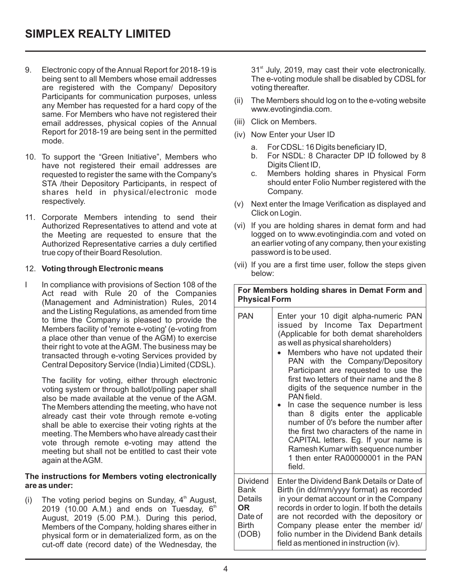- 9. Electronic copy of the Annual Report for 2018-19 is being sent to all Members whose email addresses are registered with the Company/ Depository Participants for communication purposes, unless any Member has requested for a hard copy of the same. For Members who have not registered their email addresses, physical copies of the Annual Report for 2018-19 are being sent in the permitted mode.
- 10. To support the "Green Initiative", Members who have not registered their email addresses are requested to register the same with the Company's STA /their Depository Participants, in respect of shares held in physical/electronic mode respectively.
- 11. Corporate Members intending to send their Authorized Representatives to attend and vote at the Meeting are requested to ensure that the Authorized Representative carries a duly certified true copy of their Board Resolution.

#### 12. **Voting through Electronic means**

I In compliance with provisions of Section 108 of the Act read with Rule 20 of the Companies (Management and Administration) Rules, 2014 and the Listing Regulations, as amended from time to time the Company is pleased to provide the Members facility of 'remote e-voting' (e-voting from a place other than venue of the AGM) to exercise their right to vote at the AGM. The business may be transacted through e-voting Services provided by Central Depository Service (India) Limited (CDSL).

The facility for voting, either through electronic voting system or through ballot/polling paper shall also be made available at the venue of the AGM. The Members attending the meeting, who have not already cast their vote through remote e-voting shall be able to exercise their voting rights at the meeting. The Members who have already cast their vote through remote e-voting may attend the meeting but shall not be entitled to cast their vote again at the AGM.

#### **The instructions for Members voting electronically are as under:**

(i) The voting period begins on Sunday,  $4<sup>th</sup>$  August, 2019 (10.00 A.M.) and ends on Tuesday,  $6<sup>th</sup>$ August, 2019 (5.00 P.M.). During this period, Members of the Company, holding shares either in physical form or in dematerialized form, as on the cut-off date (record date) of the Wednesday, the 31<sup>st</sup> July, 2019, may cast their vote electronically. The e-voting module shall be disabled by CDSL for voting thereafter.

- (ii) The Members should log on to the e-voting website www.evotingindia.com.
- (iii) Click on Members.
- (iv) Now Enter your User ID
	- a. For CDSL: 16 Digits beneficiary ID,
	- b. For NSDL: 8 Character DP ID followed by 8 Digits Client ID,
	- c. Members holding shares in Physical Form should enter Folio Number registered with the Company.
- (v) Next enter the Image Verification as displayed and Click on Login.
- (vi) If you are holding shares in demat form and had logged on to www.evotingindia.com and voted on an earlier voting of any company, then your existing password is to be used.
- (vii) If you are a first time user, follow the steps given below:

**For Members holding shares in Demat Form and Physical Form**

| PAN                                                                    | Enter your 10 digit alpha-numeric PAN<br>issued by Income Tax Department<br>(Applicable for both demat shareholders<br>as well as physical shareholders)<br>Members who have not updated their<br>PAN with the Company/Depository<br>Participant are requested to use the<br>first two letters of their name and the 8<br>digits of the sequence number in the<br>PAN field.<br>In case the sequence number is less<br>than 8 digits enter the applicable<br>number of 0's before the number after<br>the first two characters of the name in<br>CAPITAL letters. Eg. If your name is<br>Ramesh Kumar with sequence number<br>1 then enter RA00000001 in the PAN<br>field. |
|------------------------------------------------------------------------|----------------------------------------------------------------------------------------------------------------------------------------------------------------------------------------------------------------------------------------------------------------------------------------------------------------------------------------------------------------------------------------------------------------------------------------------------------------------------------------------------------------------------------------------------------------------------------------------------------------------------------------------------------------------------|
| Dividend<br>Bank<br>Details<br>OR.<br>Date of<br><b>Birth</b><br>(DOB) | Enter the Dividend Bank Details or Date of<br>Birth (in dd/mm/yyyy format) as recorded<br>in your demat account or in the Company<br>records in order to login. If both the details<br>are not recorded with the depository or<br>Company please enter the member id/<br>folio number in the Dividend Bank details<br>field as mentioned in instruction (iv).                                                                                                                                                                                                                                                                                                              |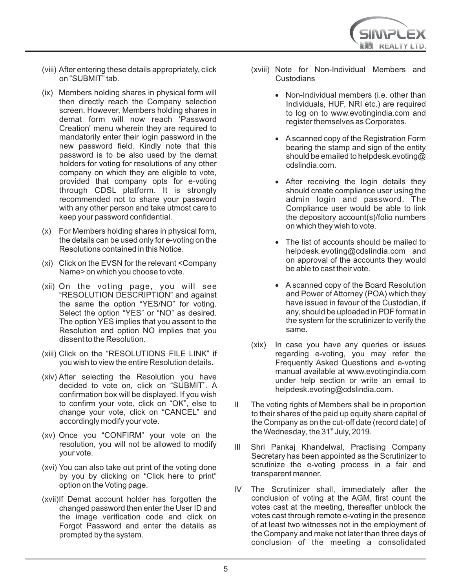

- (viii) After entering these details appropriately, click on "SUBMIT" tab.
- (ix) Members holding shares in physical form will then directly reach the Company selection screen. However, Members holding shares in demat form will now reach 'Password Creation' menu wherein they are required to mandatorily enter their login password in the new password field. Kindly note that this password is to be also used by the demat holders for voting for resolutions of any other company on which they are eligible to vote, provided that company opts for e-voting through CDSL platform. It is strongly recommended not to share your password with any other person and take utmost care to keep your password confidential.
- (x) For Members holding shares in physical form, the details can be used only for e-voting on the Resolutions contained in this Notice.
- (xi) Click on the EVSN for the relevant <Company Name> on which you choose to vote.
- (xii) On the voting page, you will see "RESOLUTION DESCRIPTION" and against the same the option "YES/NO" for voting. Select the option "YES" or "NO" as desired. The option YES implies that you assent to the Resolution and option NO implies that you dissent to the Resolution.
- (xiii) Click on the "RESOLUTIONS FILE LINK" if you wish to view the entire Resolution details.
- (xiv) After selecting the Resolution you have decided to vote on, click on "SUBMIT". A confirmation box will be displayed. If you wish to confirm your vote, click on "OK", else to change your vote, click on "CANCEL" and accordingly modify your vote.
- (xv) Once you "CONFIRM" your vote on the resolution, you will not be allowed to modify your vote.
- (xvi) You can also take out print of the voting done by you by clicking on "Click here to print" option on the Voting page.
- (xvii)If Demat account holder has forgotten the changed password then enter the User ID and the image verification code and click on Forgot Password and enter the details as prompted by the system.
- (xviii) Note for Non-Individual Members and **Custodians** 
	- · Non-Individual members (i.e. other than Individuals, HUF, NRI etc.) are required to log on to www.evotingindia.com and register themselves as Corporates.
	- · Ascanned copy of the Registration Form bearing the stamp and sign of the entity should be emailed to helpdesk.evoting@ cdslindia.com.
	- · After receiving the login details they should create compliance user using the admin login and password. The Compliance user would be able to link the depository account(s)/folio numbers on which they wish to vote.
	- · The list of accounts should be mailed to helpdesk.evoting@cdslindia.com and on approval of the accounts they would be able to cast their vote.
	- · A scanned copy of the Board Resolution and Power of Attorney (POA) which they have issued in favour of the Custodian, if any, should be uploaded in PDF format in the system for the scrutinizer to verify the same.
- (xix) In case you have any queries or issues regarding e-voting, you may refer the Frequently Asked Questions and e-voting manual available at www.evotingindia.com under help section or write an email to helpdesk.evoting@cdslindia.com.
- II The voting rights of Members shall be in proportion to their shares of the paid up equity share capital of the Company as on the cut-off date (record date) of the Wednesday, the 31<sup>st</sup> July, 2019.
- III Shri Pankaj Khandelwal, Practising Company Secretary has been appointed as the Scrutinizer to scrutinize the e-voting process in a fair and transparent manner.
- IV The Scrutinizer shall, immediately after the conclusion of voting at the AGM, first count the votes cast at the meeting, thereafter unblock the votes cast through remote e-voting in the presence of at least two witnesses not in the employment of the Company and make not later than three days of conclusion of the meeting a consolidated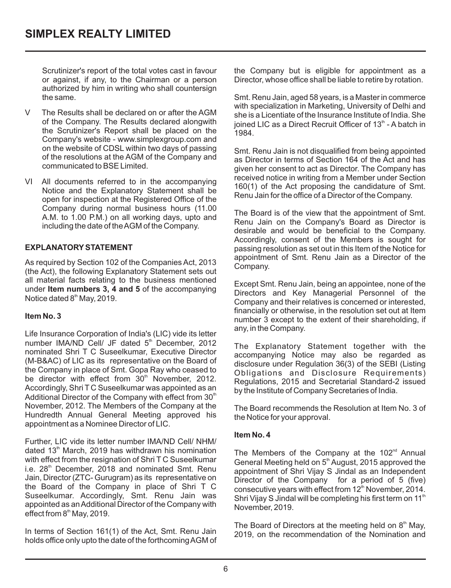Scrutinizer's report of the total votes cast in favour or against, if any, to the Chairman or a person authorized by him in writing who shall countersign the same.

- V The Results shall be declared on or after the AGM of the Company. The Results declared alongwith the Scrutinizer's Report shall be placed on the Company's website - www.simplexgroup.com and on the website of CDSL within two days of passing of the resolutions at the AGM of the Company and communicated to BSE Limited.
- VI All documents referred to in the accompanying Notice and the Explanatory Statement shall be open for inspection at the Registered Office of the Company during normal business hours (11.00 A.M. to 1.00 P.M.) on all working days, upto and including the date of the AGM of the Company.

# **EXPLANATORYSTATEMENT**

As required by Section 102 of the Companies Act, 2013 (the Act), the following Explanatory Statement sets out all material facts relating to the business mentioned under **Item numbers 3, 4 and 5** of the accompanying Notice dated 8<sup>th</sup> May, 2019.

#### **Item No. 3**

Life Insurance Corporation of India's (LIC) vide its letter number IMA/ND Cell/ JF dated  $5<sup>th</sup>$  December, 2012 nominated Shri T C Suseelkumar, Executive Director (M-B&AC) of LIC as its representative on the Board of the Company in place of Smt. Gopa Ray who ceased to be director with effect from 30<sup>th</sup> November, 2012. Accordingly, Shri T C Suseelkumar was appointed as an Additional Director of the Company with effect from 30<sup>th</sup> November, 2012. The Members of the Company at the Hundredth Annual General Meeting approved his appointment as a Nominee Director of LIC.

Further, LIC vide its letter number IMA/ND Cell/ NHM/ dated 13<sup>th</sup> March, 2019 has withdrawn his nomination with effect from the resignation of Shri T C Suseelkumar i.e. 28<sup>th</sup> December, 2018 and nominated Smt. Renu Jain, Director (ZTC- Gurugram) as its representative on the Board of the Company in place of Shri T C Suseelkumar. Accordingly, Smt. Renu Jain was appointed as anAdditional Director of the Company with effect from  $8<sup>th</sup>$  May, 2019.

In terms of Section 161(1) of the Act, Smt. Renu Jain holds office only upto the date of the forthcoming AGM of the Company but is eligible for appointment as a Director, whose office shall be liable to retire by rotation.

Smt. Renu Jain, aged 58 years, is a Master in commerce with specialization in Marketing, University of Delhi and she is a Licentiate of the Insurance Institute of India. She ioined LIC as a Direct Recruit Officer of  $13<sup>th</sup>$  - A batch in 1984.

Smt. Renu Jain is not disqualified from being appointed  $160(1)$  of the Act proposing the candidature of Smt. Renu Jain for the office of a Director of the Company. as Director in terms of Section 164 of the Act and has given her consent to act as Director. The Company has received notice in writing from a Member under Section

The Board is of the view that the appointment of Smt. Renu Jain on the Company's Board as Director is appointment of Smt. Renu Jain as a Director of the desirable and would be beneficial to the Company. Accordingly, consent of the Members is sought for passing resolution as set out in this Item of the Notice for Company.

Except Smt. Renu Jain, being an appointee, none of the Directors and Key Managerial Personnel of the Company and their relatives is concerned or interested, financially or otherwise, in the resolution set out at Item number 3 except to the extent of their shareholding, if any, in the Company.

The Explanatory Statement together with the accompanying Notice may also be regarded as disclosure under Regulation 36(3) of the SEBI (Listing Obligations and Disclosure Requirements) Regulations, 2015 and Secretarial Standard-2 issued by the Institute of Company Secretaries of India.

The Board recommends the Resolution at Item No. 3 of the Notice for your approval.

#### **Item No. 4**

The Members of the Company at the  $102<sup>nd</sup>$  Annual General Meeting held on  $5<sup>th</sup>$  August, 2015 approved the appointment of Shri Vijay S Jindal as an Independent Director of the Company for a period of 5 (five) consecutive years with effect from 12<sup>th</sup> November, 2014. Shri Vijay S Jindal will be completing his first term on 11<sup>th</sup> November, 2019.

The Board of Directors at the meeting held on  $8<sup>th</sup>$  May, 2019, on the recommendation of the Nomination and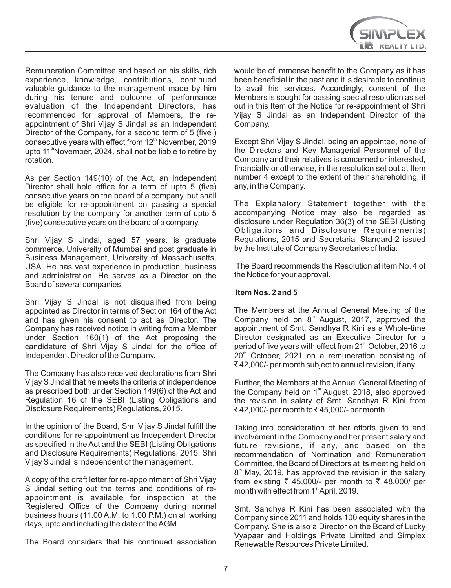

Remuneration Committee and based on his skills, rich experience, knowledge, contributions, continued valuable guidance to the management made by him during his tenure and outcome of performance evaluation of the Independent Directors, has recommended for approval of Members, the reappointment of Shri Vijay S Jindal as an Independent Director of the Company, for a second term of 5 (five ) consecutive years with effect from 12<sup>th</sup> November, 2019 upto 11<sup>th</sup> November, 2024, shall not be liable to retire by rotation.

As per Section 149(10) of the Act, an Independent Director shall hold office for a term of upto 5 (five) consecutive years on the board of a company, but shall be eligible for re-appointment on passing a special resolution by the company for another term of upto 5 (five) consecutive years on the board of a company.

Shri Vijay S Jindal , aged 57 years, is graduate USA. He has vast experience in production, business and administration. He serves as a Director on the Board of several companies. commerce, University of Mumbai and post graduate in Business Management, University of Massachusetts,

Shri Vijay S Jindal is not disqualified from being appointed as Director in terms of Section 164 of the Act and has given his consent to act as Director. The Company has received notice in writing from a Member under Section 160(1) of the Act proposing the candidature of Shri Vijay S Jindal for the office of Independent Director of the Company.

The Company has also received declarations from Shri Vijay S Jindal that he meets the criteria of independence as prescribed both under Section 149(6) of the Act and Regulation 16 of the SEBI (Listing Obligations and Disclosure Requirements) Regulations, 2015.

In the opinion of the Board, Shri Vijay S Jindal fulfill the conditions for re-appointment as Independent Director as specified in the Act and the SEBI (Listing Obligations and Disclosure Requirements) Regulations, 2015. Shri Vijay S Jindal is independent of the management.

A copy of the draft letter for re-appointment of Shri Vijay S Jindal setting out the terms and conditions of reappointment is available for inspection at the Registered Office of the Company during normal business hours (11.00 A.M. to 1.00 P.M.) on all working days, upto and including the date of the AGM.

The Board considers that his continued association

would be of immense benefit to the Company as it has been beneficial in the past and it is desirable to continue to avail his services. Accordingly, consent of the Members is sought for passing special resolution as set out in this Item of the Notice for re-appointment of Shri Vijay S Jindal as an Independent Director of the Company.

Except Shri Vijay S Jindal, being an appointee, none of the Directors and Key Managerial Personnel of the Company and their relatives is concerned or interested, financially or otherwise, in the resolution set out at Item number 4 except to the extent of their shareholding, if any, in the Company.

The Explanatory Statement together with the accompanying Notice may also be regarded as disclosure under Regulation 36(3) of the SEBI (Listing Obligations and Disclosure Requirements) Regulations, 2015 and Secretarial Standard-2 issued by the Institute of Company Secretaries of India.

The Board recommends the Resolution at item No. 4 of the Notice for your approval.

#### **Item Nos. 2 and 5**

The Members at the Annual General Meeting of the Company held on  $8<sup>th</sup>$  August, 2017, approved the appointment of Smt. Sandhya R Kini as a Whole-time Director designated as an Executive Director for a period of five years with effect from 21<sup>st</sup> October, 2016 to  $20<sup>th</sup>$  October, 2021 on a remuneration consisting of  $\bar{\tau}$  42,000/- per month subject to annual revision, if any.

Further, the Members at the Annual General Meeting of the Company held on  $1<sup>st</sup>$  August, 2018, also approved the revision in salary of Smt. Sandhya R Kini from  $₹42,000/-$  per month to ₹45,000/- per month.

Taking into consideration of her efforts given to and involvement in the Company and her present salary and future revisions, if any, and based on the recommendation of Nomination and Remuneration Committee, the Board of Directors at its meeting held on  $8<sup>th</sup>$  May, 2019, has approved the revision in the salary from existing  $\overline{\zeta}$  45,000/- per month to  $\overline{\zeta}$  48,000/ per month with effect from 1<sup>st</sup> April, 2019.

Smt. Sandhya R Kini has been associated with the Company since 2011 and holds 100 equity shares in the Company. She is also a Director on the Board of Lucky Vyapaar and Holdings Private Limited and Simplex Renewable Resources Private Limited.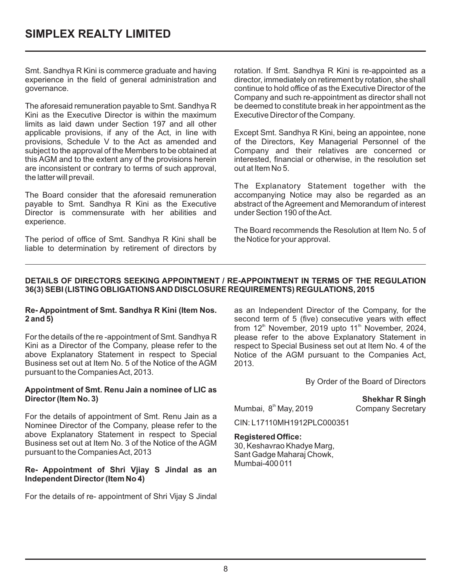Smt. Sandhya R Kini is commerce graduate and having experience in the field of general administration and governance.

The aforesaid remuneration payable to Smt. Sandhya R Kini as the Executive Director is within the maximum limits as laid dawn under Section 197 and all other applicable provisions, if any of the Act, in line with provisions, Schedule V to the Act as amended and subject to the approval of the Members to be obtained at this AGM and to the extent any of the provisions herein are inconsistent or contrary to terms of such approval, the latter will prevail.

The Board consider that the aforesaid remuneration payable to Smt. Sandhya R Kini as the Executive Director is commensurate with her abilities and experience.

The period of office of Smt. Sandhya R Kini shall be liable to determination by retirement of directors by rotation. If Smt. Sandhya R Kini is re-appointed as a director, immediately on retirement by rotation, she shall continue to hold office of as the Executive Director of the Company and such re-appointment as director shall not be deemed to constitute break in her appointment as the Executive Director of the Company.

Except Smt. Sandhya R Kini, being an appointee, none of the Directors, Key Managerial Personnel of the Company and their relatives are concerned or interested, financial or otherwise, in the resolution set out at Item No 5.

The Explanatory Statement together with the accompanying Notice may also be regarded as an abstract of the Agreement and Memorandum of interest under Section 190 of the Act.

The Board recommends the Resolution at Item No. 5 of the Notice for your approval.

#### **DETAILS OF DIRECTORS SEEKING APPOINTMENT / RE-APPOINTMENT IN TERMS OF THE REGULATION 36(3) SEBI (LISTING OBLIGATIONS AND DISCLOSURE REQUIREMENTS) REGULATIONS, 2015**

#### **Re- Appointment of Smt. Sandhya R Kini (Item Nos. 2 and 5)**

For the details of the re -appointment of Smt. Sandhya R Kini as a Director of the Company, please refer to the above Explanatory Statement in respect to Special Business set out at Item No. 5 of the Notice of the AGM pursuant to the Companies Act, 2013.

#### **Appointment of Smt. Renu Jain a nominee of LIC as Director (Item No. 3)**

For the details of appointment of Smt. Renu Jain as a Nominee Director of the Company, please refer to the above Explanatory Statement in respect to Special Business set out at Item No. 3 of the Notice of the AGM pursuant to the Companies Act, 2013

#### **Re- Appointment of Shri Vjiay S Jindal as an Independent Director (Item No 4)**

For the details of re- appointment of Shri Vijay S Jindal

as an Independent Director of the Company, for the second term of 5 (five) consecutive years with effect from  $12<sup>th</sup>$  November, 2019 upto  $11<sup>th</sup>$  November, 2024, please refer to the above Explanatory Statement in respect to Special Business set out at Item No. 4 of the Notice of the AGM pursuant to the Companies Act, 2013.

By Order of the Board of Directors

 **Shekhar R Singh**  Mumbai, 8<sup>th</sup> May, 2019 Company Secretary

CIN: L17110MH1912PLC000351

#### **Registered Office:**

30, Keshavrao Khadye Marg, Sant Gadge Maharaj Chowk, Mumbai-400 011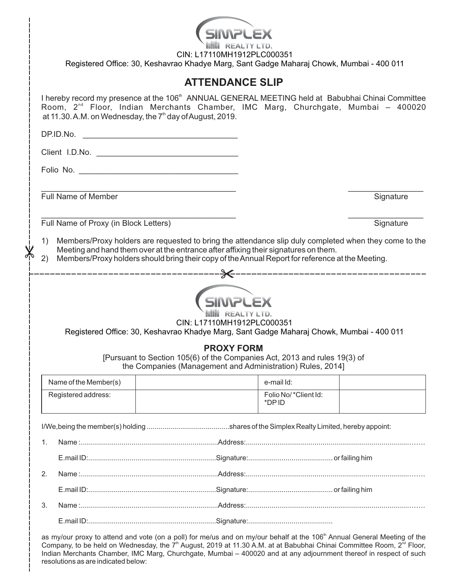|                                                                                                                        |                                                                                                        | CIN: L17110MH1912PLC000351<br>Registered Office: 30, Keshavrao Khadye Marg, Sant Gadge Maharaj Chowk, Mumbai - 400 011                                                                                                                                                                 |                               |           |  |  |  |
|------------------------------------------------------------------------------------------------------------------------|--------------------------------------------------------------------------------------------------------|----------------------------------------------------------------------------------------------------------------------------------------------------------------------------------------------------------------------------------------------------------------------------------------|-------------------------------|-----------|--|--|--|
|                                                                                                                        |                                                                                                        | <b>ATTENDANCE SLIP</b>                                                                                                                                                                                                                                                                 |                               |           |  |  |  |
|                                                                                                                        |                                                                                                        | I hereby record my presence at the 106 <sup>th</sup> ANNUAL GENERAL MEETING held at Babubhai Chinai Committee<br>Room, 2 <sup>nd</sup> Floor, Indian Merchants Chamber, IMC Marg, Churchgate, Mumbai - 400020<br>at 11.30. A.M. on Wednesday, the 7 <sup>th</sup> day of August, 2019. |                               |           |  |  |  |
|                                                                                                                        |                                                                                                        |                                                                                                                                                                                                                                                                                        |                               |           |  |  |  |
|                                                                                                                        |                                                                                                        |                                                                                                                                                                                                                                                                                        |                               |           |  |  |  |
|                                                                                                                        |                                                                                                        |                                                                                                                                                                                                                                                                                        |                               |           |  |  |  |
|                                                                                                                        |                                                                                                        |                                                                                                                                                                                                                                                                                        |                               |           |  |  |  |
|                                                                                                                        | <b>Full Name of Member</b>                                                                             |                                                                                                                                                                                                                                                                                        |                               | Signature |  |  |  |
|                                                                                                                        | Full Name of Proxy (in Block Letters)                                                                  |                                                                                                                                                                                                                                                                                        |                               | Signature |  |  |  |
|                                                                                                                        |                                                                                                        |                                                                                                                                                                                                                                                                                        |                               |           |  |  |  |
| 1)                                                                                                                     |                                                                                                        | Members/Proxy holders are requested to bring the attendance slip duly completed when they come to the<br>Meeting and hand them over at the entrance after affixing their signatures on them.                                                                                           |                               |           |  |  |  |
|                                                                                                                        | Members/Proxy holders should bring their copy of the Annual Report for reference at the Meeting.<br>2) |                                                                                                                                                                                                                                                                                        |                               |           |  |  |  |
| CIN: L17110MH1912PLC000351<br>Registered Office: 30, Keshavrao Khadye Marg, Sant Gadge Maharaj Chowk, Mumbai - 400 011 |                                                                                                        |                                                                                                                                                                                                                                                                                        |                               |           |  |  |  |
|                                                                                                                        |                                                                                                        | <b>PROXY FORM</b><br>[Pursuant to Section 105(6) of the Companies Act, 2013 and rules 19(3) of<br>the Companies (Management and Administration) Rules, 2014]                                                                                                                           |                               |           |  |  |  |
|                                                                                                                        | Name of the Member(s)                                                                                  |                                                                                                                                                                                                                                                                                        | e-mail Id:                    |           |  |  |  |
|                                                                                                                        | Registered address:                                                                                    |                                                                                                                                                                                                                                                                                        | Folio No/*Client Id:<br>*DPID |           |  |  |  |
|                                                                                                                        |                                                                                                        |                                                                                                                                                                                                                                                                                        |                               |           |  |  |  |
| 1.                                                                                                                     |                                                                                                        |                                                                                                                                                                                                                                                                                        |                               |           |  |  |  |
|                                                                                                                        |                                                                                                        |                                                                                                                                                                                                                                                                                        |                               |           |  |  |  |
| 2.                                                                                                                     |                                                                                                        |                                                                                                                                                                                                                                                                                        |                               |           |  |  |  |
|                                                                                                                        |                                                                                                        |                                                                                                                                                                                                                                                                                        |                               |           |  |  |  |
| 3.                                                                                                                     |                                                                                                        |                                                                                                                                                                                                                                                                                        |                               |           |  |  |  |
|                                                                                                                        |                                                                                                        |                                                                                                                                                                                                                                                                                        |                               |           |  |  |  |

as my/our proxy to attend and vote (on a poll) for me/us and on my/our behalf at the 106<sup>th</sup> Annual General Meeting of the Company, to be held on Wednesday, the 7<sup>th</sup> August, 2019 at 11.30 A.M. at at Babubhai Chinai Committee Room, 2<sup>nd</sup> Floor, Indian Merchants Chamber, IMC Marg, Churchgate, Mumbai – 400020 and at any adjournment thereof in respect of such resolutions as are indicated below: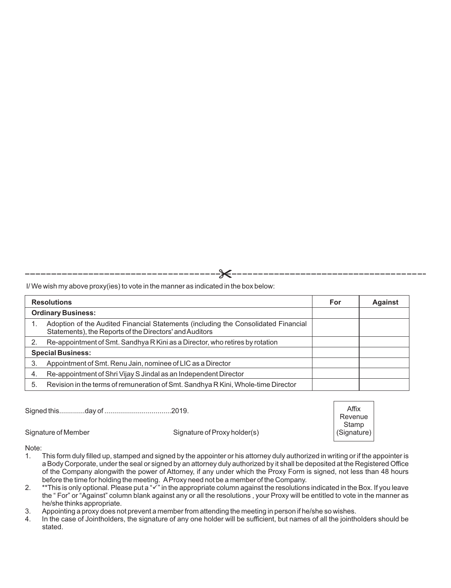I/ We wish my above proxy(ies) to vote in the manner as indicated in the box below:

| <b>Resolutions</b>        |                                                                                                                                               |  | <b>Against</b> |
|---------------------------|-----------------------------------------------------------------------------------------------------------------------------------------------|--|----------------|
| <b>Ordinary Business:</b> |                                                                                                                                               |  |                |
|                           | Adoption of the Audited Financial Statements (including the Consolidated Financial<br>Statements), the Reports of the Directors' and Auditors |  |                |
|                           | Re-appointment of Smt. Sandhya R Kini as a Director, who retires by rotation                                                                  |  |                |
| <b>Special Business:</b>  |                                                                                                                                               |  |                |
| 3.                        | Appointment of Smt. Renu Jain, nominee of LIC as a Director                                                                                   |  |                |
| 4.                        | Re-appointment of Shri Vijay S Jindal as an Independent Director                                                                              |  |                |
| 5.                        | Revision in the terms of remuneration of Smt. Sandhya R Kini, Whole-time Director                                                             |  |                |

Signed this.............day of ..................................2019.

Signature of Member Signature of Proxy holder(s)

Affix Revenue Stamp (Signature)

#### Note:

- 1. This form duly filled up, stamped and signed by the appointer or his attorney duly authorized in writing or if the appointer is a Body Corporate, under the seal or signed by an attorney duly authorized by it shall be deposited at the Registered Office of the Company alongwith the power of Attorney, if any under which the Proxy Form is signed, not less than 48 hours before the time for holding the meeting. AProxy need not be a member of the Company.
- 2.  $*$ This is only optional. Please put a " $\checkmark$ " in the appropriate column against the resolutions indicated in the Box. If you leave the " For" or "Against" column blank against any or all the resolutions , your Proxy will be entitled to vote in the manner as he/she thinks appropriate.
- 3. Appointing a proxy does not prevent a member from attending the meeting in person if he/she so wishes.<br>4. In the case of Jointholders, the signature of any one holder will be sufficient, but names of all the jointh
- In the case of Jointholders, the signature of any one holder will be sufficient, but names of all the jointholders should be stated.